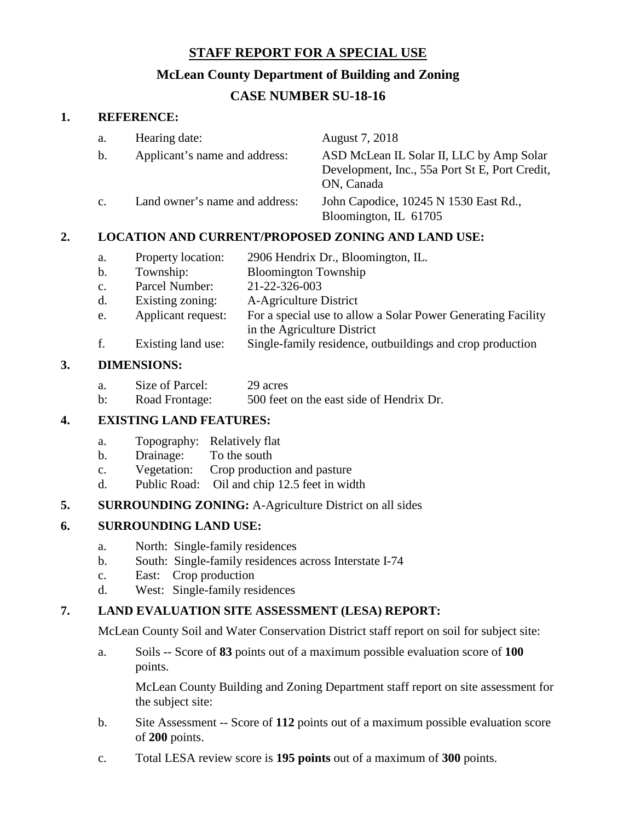# **STAFF REPORT FOR A SPECIAL USE**

# **McLean County Department of Building and Zoning**

# **CASE NUMBER SU-18-16**

#### **1. REFERENCE:**

| a.             | Hearing date:                  | August 7, 2018                                                                                           |
|----------------|--------------------------------|----------------------------------------------------------------------------------------------------------|
| b.             | Applicant's name and address:  | ASD McLean IL Solar II, LLC by Amp Solar<br>Development, Inc., 55a Port St E, Port Credit,<br>ON, Canada |
| $\mathbf{c}$ . | Land owner's name and address: | John Capodice, 10245 N 1530 East Rd.,<br>Bloomington, IL 61705                                           |

## **2. LOCATION AND CURRENT/PROPOSED ZONING AND LAND USE:**

- a. Property location: 2906 Hendrix Dr., Bloomington, IL.
- b. Township: Bloomington Township<br>c. Parcel Number: 21-22-326-003
- c. Parcel Number:
- d. Existing zoning: A-Agriculture District
- e. Applicant request: For a special use to allow a Solar Power Generating Facility
- in the Agriculture District
- f. Existing land use: Single-family residence, outbuildings and crop production

## **3. DIMENSIONS:**

- a. Size of Parcel: 29 acres
- b: Road Frontage: 500 feet on the east side of Hendrix Dr.

## **4. EXISTING LAND FEATURES:**

- a. Topography: Relatively flat
- b. Drainage: To the south
- c. Vegetation: Crop production and pasture
- d. Public Road: Oil and chip 12.5 feet in width

## **5. SURROUNDING ZONING:** A-Agriculture District on all sides

## **6. SURROUNDING LAND USE:**

- a. North: Single-family residences
- b. South: Single-family residences across Interstate I-74
- c. East: Crop production
- d. West: Single-family residences

## **7. LAND EVALUATION SITE ASSESSMENT (LESA) REPORT:**

McLean County Soil and Water Conservation District staff report on soil for subject site:

a. Soils -- Score of **83** points out of a maximum possible evaluation score of **100** points.

McLean County Building and Zoning Department staff report on site assessment for the subject site:

- b. Site Assessment -- Score of **112** points out of a maximum possible evaluation score of **200** points.
- c. Total LESA review score is **195 points** out of a maximum of **300** points.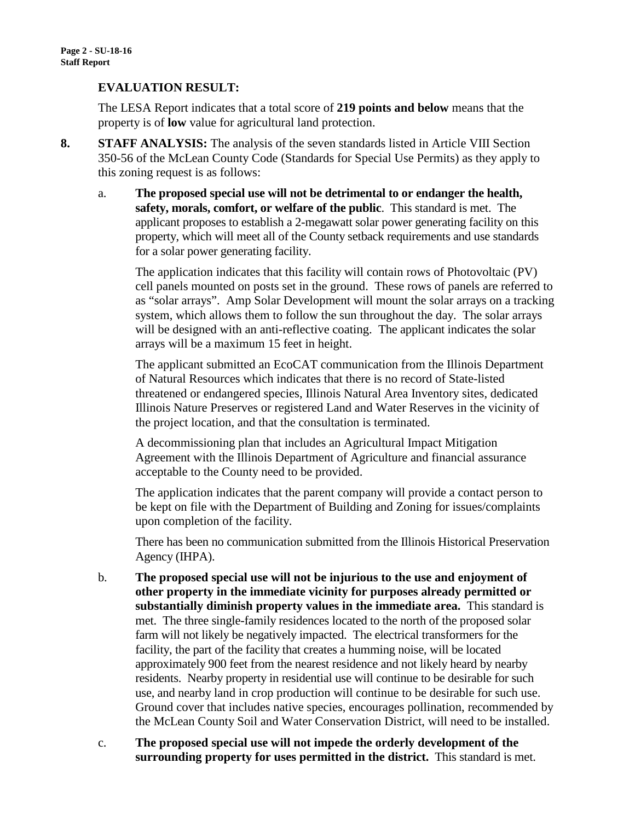#### **EVALUATION RESULT:**

The LESA Report indicates that a total score of **219 points and below** means that the property is of **low** value for agricultural land protection.

- **8. STAFF ANALYSIS:** The analysis of the seven standards listed in Article VIII Section 350-56 of the McLean County Code (Standards for Special Use Permits) as they apply to this zoning request is as follows:
	- a. **The proposed special use will not be detrimental to or endanger the health, safety, morals, comfort, or welfare of the public**. This standard is met. The applicant proposes to establish a 2-megawatt solar power generating facility on this property, which will meet all of the County setback requirements and use standards for a solar power generating facility.

The application indicates that this facility will contain rows of Photovoltaic (PV) cell panels mounted on posts set in the ground. These rows of panels are referred to as "solar arrays". Amp Solar Development will mount the solar arrays on a tracking system, which allows them to follow the sun throughout the day. The solar arrays will be designed with an anti-reflective coating. The applicant indicates the solar arrays will be a maximum 15 feet in height.

The applicant submitted an EcoCAT communication from the Illinois Department of Natural Resources which indicates that there is no record of State-listed threatened or endangered species, Illinois Natural Area Inventory sites, dedicated Illinois Nature Preserves or registered Land and Water Reserves in the vicinity of the project location, and that the consultation is terminated.

A decommissioning plan that includes an Agricultural Impact Mitigation Agreement with the Illinois Department of Agriculture and financial assurance acceptable to the County need to be provided.

The application indicates that the parent company will provide a contact person to be kept on file with the Department of Building and Zoning for issues/complaints upon completion of the facility.

There has been no communication submitted from the Illinois Historical Preservation Agency (IHPA).

- b. **The proposed special use will not be injurious to the use and enjoyment of other property in the immediate vicinity for purposes already permitted or substantially diminish property values in the immediate area.** This standard is met. The three single-family residences located to the north of the proposed solar farm will not likely be negatively impacted. The electrical transformers for the facility, the part of the facility that creates a humming noise, will be located approximately 900 feet from the nearest residence and not likely heard by nearby residents. Nearby property in residential use will continue to be desirable for such use, and nearby land in crop production will continue to be desirable for such use. Ground cover that includes native species, encourages pollination, recommended by the McLean County Soil and Water Conservation District, will need to be installed.
- c. **The proposed special use will not impede the orderly development of the surrounding property for uses permitted in the district.** This standard is met.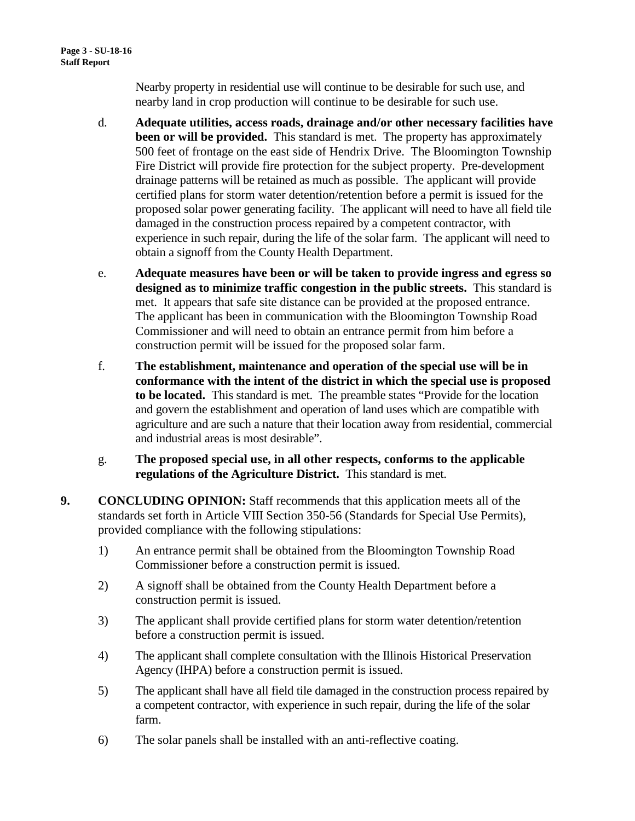Nearby property in residential use will continue to be desirable for such use, and nearby land in crop production will continue to be desirable for such use.

- d. **Adequate utilities, access roads, drainage and/or other necessary facilities have been or will be provided.** This standard is met. The property has approximately 500 feet of frontage on the east side of Hendrix Drive. The Bloomington Township Fire District will provide fire protection for the subject property. Pre-development drainage patterns will be retained as much as possible. The applicant will provide certified plans for storm water detention/retention before a permit is issued for the proposed solar power generating facility. The applicant will need to have all field tile damaged in the construction process repaired by a competent contractor, with experience in such repair, during the life of the solar farm. The applicant will need to obtain a signoff from the County Health Department.
- e. **Adequate measures have been or will be taken to provide ingress and egress so designed as to minimize traffic congestion in the public streets.** This standard is met. It appears that safe site distance can be provided at the proposed entrance. The applicant has been in communication with the Bloomington Township Road Commissioner and will need to obtain an entrance permit from him before a construction permit will be issued for the proposed solar farm.
- f. **The establishment, maintenance and operation of the special use will be in conformance with the intent of the district in which the special use is proposed to be located.** This standard is met. The preamble states "Provide for the location and govern the establishment and operation of land uses which are compatible with agriculture and are such a nature that their location away from residential, commercial and industrial areas is most desirable".
- g. **The proposed special use, in all other respects, conforms to the applicable regulations of the Agriculture District.** This standard is met.
- **9. CONCLUDING OPINION:** Staff recommends that this application meets all of the standards set forth in Article VIII Section 350-56 (Standards for Special Use Permits), provided compliance with the following stipulations:
	- 1) An entrance permit shall be obtained from the Bloomington Township Road Commissioner before a construction permit is issued.
	- 2) A signoff shall be obtained from the County Health Department before a construction permit is issued.
	- 3) The applicant shall provide certified plans for storm water detention/retention before a construction permit is issued.
	- 4) The applicant shall complete consultation with the Illinois Historical Preservation Agency (IHPA) before a construction permit is issued.
	- 5) The applicant shall have all field tile damaged in the construction process repaired by a competent contractor, with experience in such repair, during the life of the solar farm.
	- 6) The solar panels shall be installed with an anti-reflective coating.